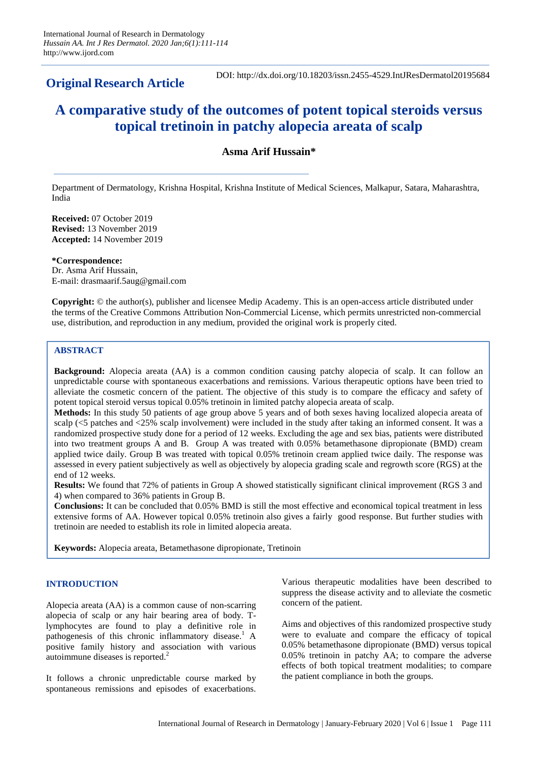**Original Research Article** 

DOI: http://dx.doi.org/10.18203/issn.2455-4529.IntJResDermatol20195684

# **A comparative study of the outcomes of potent topical steroids versus topical tretinoin in patchy alopecia areata of scalp**

**Asma Arif Hussain\***

Department of Dermatology, Krishna Hospital, Krishna Institute of Medical Sciences, Malkapur, Satara, Maharashtra, India

**Received:** 07 October 2019 **Revised:** 13 November 2019 **Accepted:** 14 November 2019

**\*Correspondence:** Dr. Asma Arif Hussain, E-mail: drasmaarif.5aug@gmail.com

**Copyright:** © the author(s), publisher and licensee Medip Academy. This is an open-access article distributed under the terms of the Creative Commons Attribution Non-Commercial License, which permits unrestricted non-commercial use, distribution, and reproduction in any medium, provided the original work is properly cited.

## **ABSTRACT**

**Background:** Alopecia areata (AA) is a common condition causing patchy alopecia of scalp. It can follow an unpredictable course with spontaneous exacerbations and remissions. Various therapeutic options have been tried to alleviate the cosmetic concern of the patient. The objective of this study is to compare the efficacy and safety of potent topical steroid versus topical 0.05% tretinoin in limited patchy alopecia areata of scalp.

**Methods:** In this study 50 patients of age group above 5 years and of both sexes having localized alopecia areata of scalp (<5 patches and <25% scalp involvement) were included in the study after taking an informed consent. It was a randomized prospective study done for a period of 12 weeks. Excluding the age and sex bias, patients were distributed into two treatment groups A and B. Group A was treated with 0.05% betamethasone dipropionate (BMD) cream applied twice daily. Group B was treated with topical 0.05% tretinoin cream applied twice daily. The response was assessed in every patient subjectively as well as objectively by alopecia grading scale and regrowth score (RGS) at the end of 12 weeks.

**Results:** We found that 72% of patients in Group A showed statistically significant clinical improvement (RGS 3 and 4) when compared to 36% patients in Group B.

**Conclusions:** It can be concluded that 0.05% BMD is still the most effective and economical topical treatment in less extensive forms of AA. However topical 0.05% tretinoin also gives a fairly good response. But further studies with tretinoin are needed to establish its role in limited alopecia areata.

**Keywords:** Alopecia areata, Betamethasone dipropionate, Tretinoin

## **INTRODUCTION**

Alopecia areata (AA) is a common cause of non-scarring alopecia of scalp or any hair bearing area of body. Tlymphocytes are found to play a definitive role in pathogenesis of this chronic inflammatory disease.<sup>1</sup> A positive family history and association with various autoimmune diseases is reported.<sup>2</sup>

It follows a chronic unpredictable course marked by spontaneous remissions and episodes of exacerbations.

Various therapeutic modalities have been described to suppress the disease activity and to alleviate the cosmetic concern of the patient.

Aims and objectives of this randomized prospective study were to evaluate and compare the efficacy of topical 0.05% betamethasone dipropionate (BMD) versus topical 0.05% tretinoin in patchy AA; to compare the adverse effects of both topical treatment modalities; to compare the patient compliance in both the groups.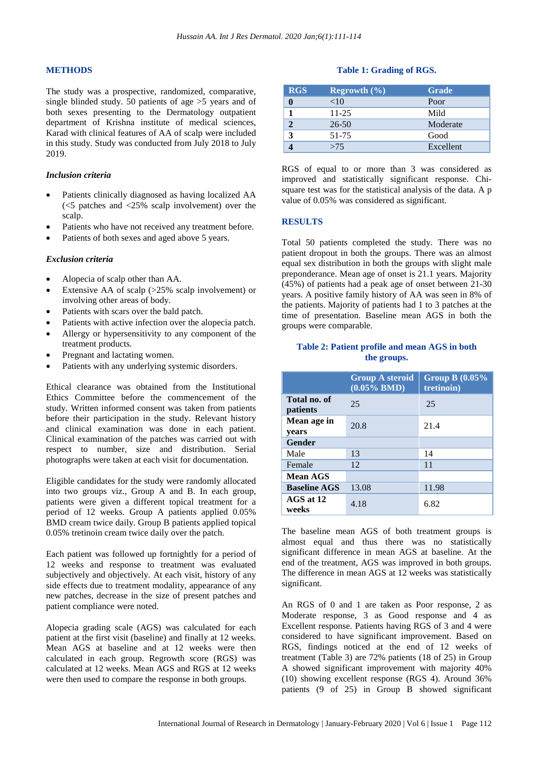## **METHODS**

The study was a prospective, randomized, comparative, single blinded study. 50 patients of age >5 years and of both sexes presenting to the Dermatology outpatient department of Krishna institute of medical sciences, Karad with clinical features of AA of scalp were included in this study. Study was conducted from July 2018 to July 2019.

### *Inclusion criteria*

- Patients clinically diagnosed as having localized AA  $\leq$  5 patches and  $\leq$  25% scalp involvement) over the scalp.
- Patients who have not received any treatment before.
- Patients of both sexes and aged above 5 years.

#### *Exclusion criteria*

- Alopecia of scalp other than AA.
- Extensive AA of scalp (>25% scalp involvement) or involving other areas of body.
- Patients with scars over the bald patch.
- Patients with active infection over the alopecia patch.
- Allergy or hypersensitivity to any component of the treatment products.
- Pregnant and lactating women.
- Patients with any underlying systemic disorders.

Ethical clearance was obtained from the Institutional Ethics Committee before the commencement of the study. Written informed consent was taken from patients before their participation in the study. Relevant history and clinical examination was done in each patient. Clinical examination of the patches was carried out with respect to number, size and distribution. Serial photographs were taken at each visit for documentation.

Eligible candidates for the study were randomly allocated into two groups viz., Group A and B. In each group, patients were given a different topical treatment for a period of 12 weeks. Group A patients applied 0.05% BMD cream twice daily. Group B patients applied topical 0.05% tretinoin cream twice daily over the patch.

Each patient was followed up fortnightly for a period of 12 weeks and response to treatment was evaluated subjectively and objectively. At each visit, history of any side effects due to treatment modality, appearance of any new patches, decrease in the size of present patches and patient compliance were noted.

Alopecia grading scale (AGS) was calculated for each patient at the first visit (baseline) and finally at 12 weeks. Mean AGS at baseline and at 12 weeks were then calculated in each group. Regrowth score (RGS) was calculated at 12 weeks. Mean AGS and RGS at 12 weeks were then used to compare the response in both groups.

#### **Table 1: Grading of RGS.**

| <b>RGS</b> | <b>Regrowth</b> $(\%)$ | <b>Grade</b> |
|------------|------------------------|--------------|
|            | <10                    | Poor         |
|            | $11 - 25$              | Mild         |
|            | $26 - 50$              | Moderate     |
| 3          | 51-75                  | Good         |
|            | >75                    | Excellent    |

RGS of equal to or more than 3 was considered as improved and statistically significant response. Chisquare test was for the statistical analysis of the data. A p value of 0.05% was considered as significant.

#### **RESULTS**

Total 50 patients completed the study. There was no patient dropout in both the groups. There was an almost equal sex distribution in both the groups with slight male preponderance. Mean age of onset is 21.1 years. Majority (45%) of patients had a peak age of onset between 21-30 years. A positive family history of AA was seen in 8% of the patients. Majority of patients had 1 to 3 patches at the time of presentation. Baseline mean AGS in both the groups were comparable.

#### **Table 2: Patient profile and mean AGS in both the groups.**

|                          | <b>Group A steroid</b><br>$\overline{(0.05\% \text{ BMD})}$ | Group B $(0.05\%$<br>tretinoin) |  |
|--------------------------|-------------------------------------------------------------|---------------------------------|--|
| Total no. of<br>patients | 25                                                          | 25                              |  |
| Mean age in<br>years     | 20.8                                                        | 21.4                            |  |
| <b>Gender</b>            |                                                             |                                 |  |
| Male                     | 13                                                          | 14                              |  |
| Female                   | 12                                                          | 11                              |  |
| Mean AGS                 |                                                             |                                 |  |
| <b>Baseline AGS</b>      | 13.08                                                       | 11.98                           |  |
| AGS at 12<br>weeks       | 4.18                                                        | 6.82                            |  |

The baseline mean AGS of both treatment groups is almost equal and thus there was no statistically significant difference in mean AGS at baseline. At the end of the treatment, AGS was improved in both groups. The difference in mean AGS at 12 weeks was statistically significant.

An RGS of 0 and 1 are taken as Poor response, 2 as Moderate response, 3 as Good response and 4 as Excellent response. Patients having RGS of 3 and 4 were considered to have significant improvement. Based on RGS, findings noticed at the end of 12 weeks of treatment (Table 3) are 72% patients (18 of 25) in Group A showed significant improvement with majority 40% (10) showing excellent response (RGS 4). Around 36% patients (9 of 25) in Group B showed significant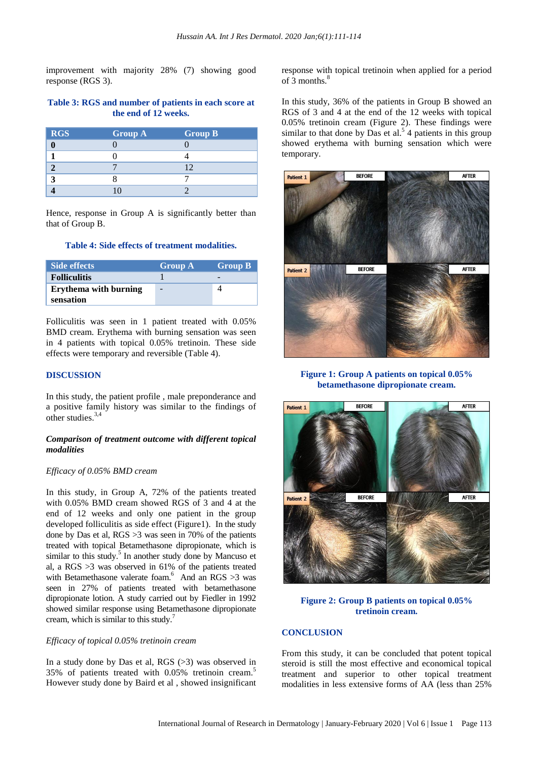improvement with majority 28% (7) showing good response (RGS 3).

#### **Table 3: RGS and number of patients in each score at the end of 12 weeks.**

| <b>RGS</b> | <b>Group A</b> | <b>Group B</b> |
|------------|----------------|----------------|
|            |                |                |
|            |                |                |
|            |                | $\mid$ ')      |
| 1          |                |                |
|            |                |                |

Hence, response in Group A is significantly better than that of Group B.

#### **Table 4: Side effects of treatment modalities.**

| Side effects                              | <b>Group A</b> | <b>Group B</b> |
|-------------------------------------------|----------------|----------------|
| <b>Folliculitis</b>                       |                |                |
| <b>Erythema with burning</b><br>sensation | -              |                |

Folliculitis was seen in 1 patient treated with 0.05% BMD cream. Erythema with burning sensation was seen in 4 patients with topical 0.05% tretinoin. These side effects were temporary and reversible (Table 4).

#### **DISCUSSION**

In this study, the patient profile , male preponderance and a positive family history was similar to the findings of other studies. 3,4

## *Comparison of treatment outcome with different topical modalities*

#### *Efficacy of 0.05% BMD cream*

In this study, in Group A, 72% of the patients treated with 0.05% BMD cream showed RGS of 3 and 4 at the end of 12 weeks and only one patient in the group developed folliculitis as side effect (Figure1). In the study done by Das et al, RGS >3 was seen in 70% of the patients treated with topical Betamethasone dipropionate, which is similar to this study.<sup>5</sup> In another study done by Mancuso et al, a RGS >3 was observed in 61% of the patients treated with Betamethasone valerate foam.<sup>6</sup> And an RGS  $>3$  was seen in 27% of patients treated with betamethasone dipropionate lotion. A study carried out by Fiedler in 1992 showed similar response using Betamethasone dipropionate cream, which is similar to this study. 7

## *Efficacy of topical 0.05% tretinoin cream*

In a study done by Das et al, RGS (>3) was observed in 35% of patients treated with 0.05% tretinoin cream.<sup>5</sup> However study done by Baird et al , showed insignificant response with topical tretinoin when applied for a period of 3 months. $8$ 

In this study, 36% of the patients in Group B showed an RGS of 3 and 4 at the end of the 12 weeks with topical 0.05% tretinoin cream (Figure 2). These findings were similar to that done by Das et al.<sup>5</sup> 4 patients in this group showed erythema with burning sensation which were temporary.



#### **Figure 1: Group A patients on topical 0.05% betamethasone dipropionate cream.**



## **Figure 2: Group B patients on topical 0.05% tretinoin cream.**

#### **CONCLUSION**

From this study, it can be concluded that potent topical steroid is still the most effective and economical topical treatment and superior to other topical treatment modalities in less extensive forms of AA (less than 25%